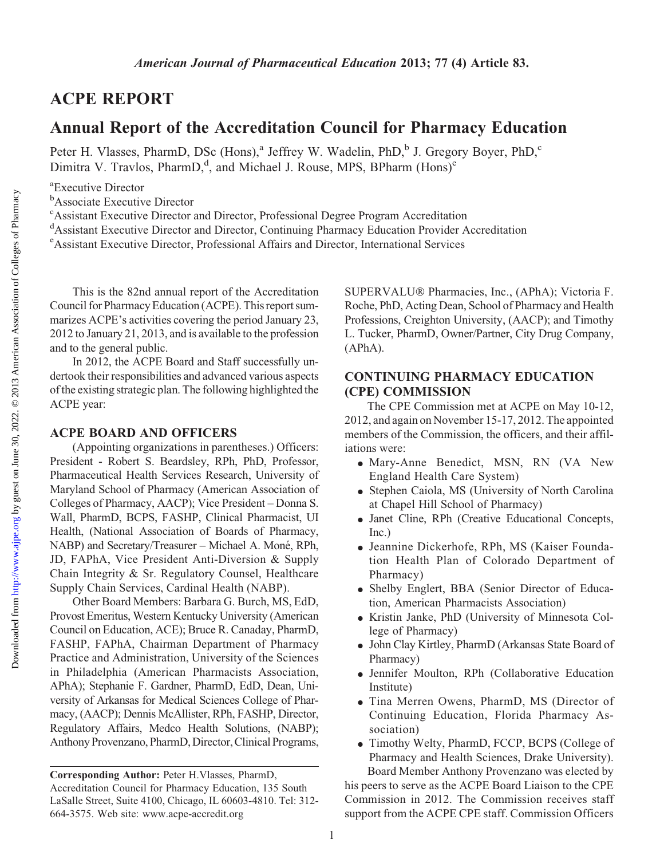# ACPE REPORT

# Annual Report of the Accreditation Council for Pharmacy Education

Peter H. Vlasses, PharmD, DSc (Hons),<sup>a</sup> Jeffrey W. Wadelin, PhD,<sup>b</sup> J. Gregory Boyer, PhD,<sup>c</sup> Dimitra V. Travlos, PharmD,<sup>d</sup>, and Michael J. Rouse, MPS, BPharm (Hons)<sup>e</sup>

a Executive Director

<sup>b</sup>Associate Executive Director

<sup>c</sup> Assistant Executive Director and Director, Professional Degree Program Accreditation

<sup>d</sup>Assistant Executive Director and Director, Continuing Pharmacy Education Provider Accreditation

e Assistant Executive Director, Professional Affairs and Director, International Services

This is the 82nd annual report of the Accreditation Council for Pharmacy Education (ACPE). This report summarizes ACPE's activities covering the period January 23, 2012 to January 21, 2013, and is available to the profession and to the general public.

In 2012, the ACPE Board and Staff successfully undertook their responsibilities and advanced various aspects ofthe existing strategic plan. The following highlighted the ACPE year:

## ACPE BOARD AND OFFICERS

(Appointing organizations in parentheses.) Officers: President - Robert S. Beardsley, RPh, PhD, Professor, Pharmaceutical Health Services Research, University of Maryland School of Pharmacy (American Association of Colleges of Pharmacy, AACP); Vice President – Donna S. Wall, PharmD, BCPS, FASHP, Clinical Pharmacist, UI Health, (National Association of Boards of Pharmacy, NABP) and Secretary/Treasurer – Michael A. Moné, RPh, JD, FAPhA, Vice President Anti-Diversion & Supply Chain Integrity & Sr. Regulatory Counsel, Healthcare Supply Chain Services, Cardinal Health (NABP).

Other Board Members: Barbara G. Burch, MS, EdD, Provost Emeritus, Western Kentucky University (American Council on Education, ACE); Bruce R. Canaday, PharmD, FASHP, FAPhA, Chairman Department of Pharmacy Practice and Administration, University of the Sciences in Philadelphia (American Pharmacists Association, APhA); Stephanie F. Gardner, PharmD, EdD, Dean, University of Arkansas for Medical Sciences College of Pharmacy, (AACP); Dennis McAllister, RPh, FASHP, Director, Regulatory Affairs, Medco Health Solutions, (NABP); Anthony Provenzano, PharmD, Director, Clinical Programs,

SUPERVALU® Pharmacies, Inc., (APhA); Victoria F. Roche, PhD, Acting Dean, School of Pharmacy and Health Professions, Creighton University, (AACP); and Timothy L. Tucker, PharmD, Owner/Partner, City Drug Company, (APhA).

# CONTINUING PHARMACY EDUCATION (CPE) COMMISSION

The CPE Commission met at ACPE on May 10-12, 2012, and again on November 15-17, 2012. The appointed members of the Commission, the officers, and their affiliations were:

- <sup>d</sup> Mary-Anne Benedict, MSN, RN (VA New England Health Care System)
- Stephen Caiola, MS (University of North Carolina at Chapel Hill School of Pharmacy)
- Janet Cline, RPh (Creative Educational Concepts, Inc.)
- <sup>d</sup> Jeannine Dickerhofe, RPh, MS (Kaiser Foundation Health Plan of Colorado Department of Pharmacy)
- <sup>d</sup> Shelby Englert, BBA (Senior Director of Education, American Pharmacists Association)
- <sup>d</sup> Kristin Janke, PhD (University of Minnesota College of Pharmacy)
- <sup>d</sup> John Clay Kirtley, PharmD (Arkansas State Board of Pharmacy)
- <sup>d</sup> Jennifer Moulton, RPh (Collaborative Education Institute)
- Tina Merren Owens, PharmD, MS (Director of Continuing Education, Florida Pharmacy Association)
- <sup>d</sup> Timothy Welty, PharmD, FCCP, BCPS (College of Pharmacy and Health Sciences, Drake University). Board Member Anthony Provenzano was elected by

his peers to serve as the ACPE Board Liaison to the CPE Commission in 2012. The Commission receives staff support from the ACPE CPE staff. Commission Officers

Corresponding Author: Peter H.Vlasses, PharmD, Accreditation Council for Pharmacy Education, 135 South LaSalle Street, Suite 4100, Chicago, IL 60603-4810. Tel: 312- 664-3575. Web site: www.acpe-accredit.org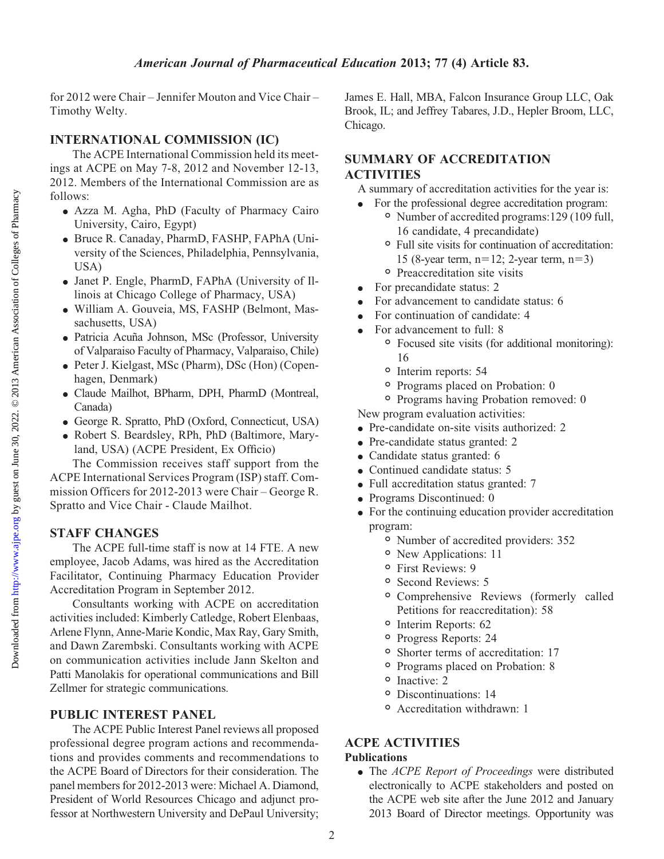for 2012 were Chair – Jennifer Mouton and Vice Chair – Timothy Welty.

# INTERNATIONAL COMMISSION (IC)

The ACPE International Commission held its meetings at ACPE on May 7-8, 2012 and November 12-13, 2012. Members of the International Commission are as follows:

- <sup>d</sup> Azza M. Agha, PhD (Faculty of Pharmacy Cairo University, Cairo, Egypt)
- <sup>d</sup> Bruce R. Canaday, PharmD, FASHP, FAPhA (University of the Sciences, Philadelphia, Pennsylvania, USA)
- <sup>d</sup> Janet P. Engle, PharmD, FAPhA (University of Illinois at Chicago College of Pharmacy, USA)
- <sup>d</sup> William A. Gouveia, MS, FASHP (Belmont, Massachusetts, USA)
- Patricia Acuña Johnson, MSc (Professor, University of Valparaiso Faculty of Pharmacy, Valparaiso, Chile)
- <sup>d</sup> Peter J. Kielgast, MSc (Pharm), DSc (Hon) (Copenhagen, Denmark)
- <sup>d</sup> Claude Mailhot, BPharm, DPH, PharmD (Montreal, Canada)
- <sup>d</sup> George R. Spratto, PhD (Oxford, Connecticut, USA)
- <sup>d</sup> Robert S. Beardsley, RPh, PhD (Baltimore, Maryland, USA) (ACPE President, Ex Officio)

The Commission receives staff support from the ACPE International Services Program (ISP) staff. Commission Officers for 2012-2013 were Chair – George R. Spratto and Vice Chair - Claude Mailhot.

# STAFF CHANGES

The ACPE full-time staff is now at 14 FTE. A new employee, Jacob Adams, was hired as the Accreditation Facilitator, Continuing Pharmacy Education Provider Accreditation Program in September 2012.

Consultants working with ACPE on accreditation activities included: Kimberly Catledge, Robert Elenbaas, Arlene Flynn, Anne-Marie Kondic, Max Ray, Gary Smith, and Dawn Zarembski. Consultants working with ACPE on communication activities include Jann Skelton and Patti Manolakis for operational communications and Bill Zellmer for strategic communications.

# PUBLIC INTEREST PANEL

The ACPE Public Interest Panel reviews all proposed professional degree program actions and recommendations and provides comments and recommendations to the ACPE Board of Directors for their consideration. The panel members for 2012-2013 were: Michael A. Diamond, President of World Resources Chicago and adjunct professor at Northwestern University and DePaul University;

James E. Hall, MBA, Falcon Insurance Group LLC, Oak Brook, IL; and Jeffrey Tabares, J.D., Hepler Broom, LLC, Chicago.

# SUMMARY OF ACCREDITATION ACTIVITIES

A summary of accreditation activities for the year is:

- For the professional degree accreditation program: <sup>o</sup> Number of accredited programs:129 (109 full, 16 candidate, 4 precandidate)
	- <sup>o</sup> Full site visits for continuation of accreditation: 15 (8-year term,  $n=12$ ; 2-year term,  $n=3$ )
	- <sup>o</sup> Preaccreditation site visits
- For precandidate status: 2
- For advancement to candidate status: 6
- For continuation of candidate: 4
- For advancement to full: 8
	- <sup>o</sup> Focused site visits (for additional monitoring): 16
	- <sup>o</sup> Interim reports: 54
	- <sup>o</sup> Programs placed on Probation: 0
	- <sup>o</sup> Programs having Probation removed: 0

New program evaluation activities:

- Pre-candidate on-site visits authorized: 2
- Pre-candidate status granted: 2
- Candidate status granted: 6
- Continued candidate status: 5
- Full accreditation status granted: 7
- Programs Discontinued: 0
- $\bullet$  For the continuing education provider accreditation program:
	- <sup>o</sup> Number of accredited providers: 352
	- <sup>o</sup> New Applications: 11
	- <sup>o</sup> First Reviews: 9
	- <sup>o</sup> Second Reviews: 5
	- <sup>o</sup> Comprehensive Reviews (formerly called Petitions for reaccreditation): 58
	- <sup>o</sup> Interim Reports: 62
	- <sup>o</sup> Progress Reports: 24
	- <sup>o</sup> Shorter terms of accreditation: 17
	- <sup>o</sup> Programs placed on Probation: 8
	- <sup>o</sup> Inactive: 2
	- <sup>o</sup> Discontinuations: 14
	- <sup>o</sup> Accreditation withdrawn: 1

### ACPE ACTIVITIES Publications

• The ACPE Report of Proceedings were distributed electronically to ACPE stakeholders and posted on the ACPE web site after the June 2012 and January 2013 Board of Director meetings. Opportunity was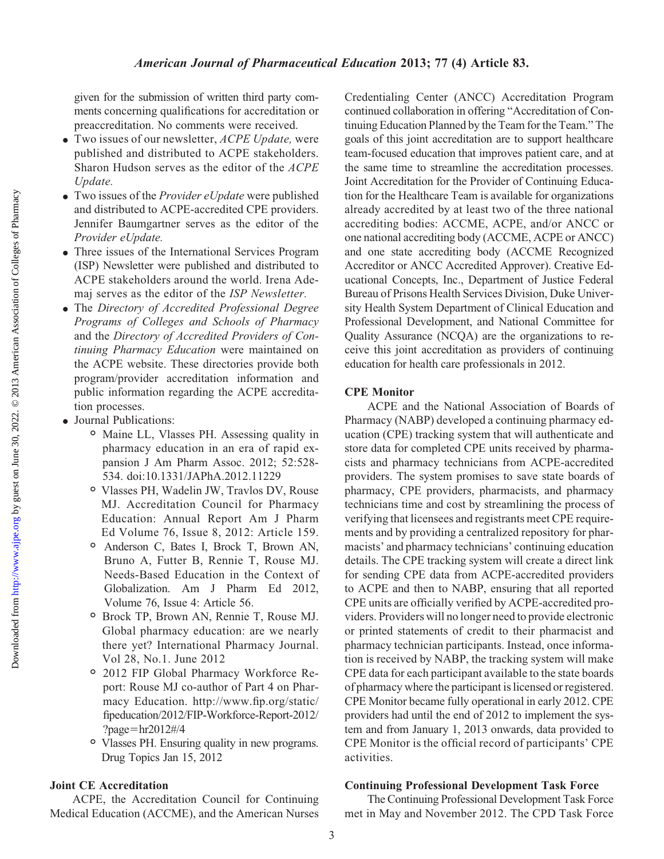given for the submission of written third party comments concerning qualifications for accreditation or preaccreditation. No comments were received.

- $\bullet$  Two issues of our newsletter, *ACPE Update*, were published and distributed to ACPE stakeholders. Sharon Hudson serves as the editor of the ACPE Update.
- $\bullet$  Two issues of the *Provider eUpdate* were published and distributed to ACPE-accredited CPE providers. Jennifer Baumgartner serves as the editor of the Provider eUpdate.
- Three issues of the International Services Program (ISP) Newsletter were published and distributed to ACPE stakeholders around the world. Irena Ademaj serves as the editor of the ISP Newsletter.
- The Directory of Accredited Professional Degree Programs of Colleges and Schools of Pharmacy and the Directory of Accredited Providers of Continuing Pharmacy Education were maintained on the ACPE website. These directories provide both program/provider accreditation information and public information regarding the ACPE accreditation processes.
- Journal Publications:
	- <sup>o</sup> Maine LL, Vlasses PH. Assessing quality in pharmacy education in an era of rapid expansion J Am Pharm Assoc. 2012; 52:528- 534. doi:10.1331/JAPhA.2012.11229
	- <sup>o</sup> Vlasses PH, Wadelin JW, Travlos DV, Rouse MJ. Accreditation Council for Pharmacy Education: Annual Report Am J Pharm Ed Volume 76, Issue 8, 2012: Article 159.
	- <sup>o</sup> Anderson C, Bates I, Brock T, Brown AN, Bruno A, Futter B, Rennie T, Rouse MJ. Needs-Based Education in the Context of Globalization. Am J Pharm Ed 2012, Volume 76, Issue 4: Article 56.
	- <sup>o</sup> Brock TP, Brown AN, Rennie T, Rouse MJ. Global pharmacy education: are we nearly there yet? International Pharmacy Journal. Vol 28, No.1. June 2012
	- <sup>o</sup> 2012 FIP Global Pharmacy Workforce Report: Rouse MJ co-author of Part 4 on Pharmacy Education. http://www.fip.org/static/ fipeducation/2012/FIP-Workforce-Report-2012/ ?page= $hr2012\#/4$
	- <sup>o</sup> Vlasses PH. Ensuring quality in new programs. Drug Topics Jan 15, 2012

## Joint CE Accreditation

ACPE, the Accreditation Council for Continuing Medical Education (ACCME), and the American Nurses Credentialing Center (ANCC) Accreditation Program continued collaboration in offering "Accreditation of Continuing Education Planned by the Team for the Team." The goals of this joint accreditation are to support healthcare team-focused education that improves patient care, and at the same time to streamline the accreditation processes. Joint Accreditation for the Provider of Continuing Education for the Healthcare Team is available for organizations already accredited by at least two of the three national accrediting bodies: ACCME, ACPE, and/or ANCC or one national accrediting body (ACCME, ACPE or ANCC) and one state accrediting body (ACCME Recognized Accreditor or ANCC Accredited Approver). Creative Educational Concepts, Inc., Department of Justice Federal Bureau of Prisons Health Services Division, Duke University Health System Department of Clinical Education and Professional Development, and National Committee for Quality Assurance (NCQA) are the organizations to receive this joint accreditation as providers of continuing education for health care professionals in 2012.

#### CPE Monitor

ACPE and the National Association of Boards of Pharmacy (NABP) developed a continuing pharmacy education (CPE) tracking system that will authenticate and store data for completed CPE units received by pharmacists and pharmacy technicians from ACPE-accredited providers. The system promises to save state boards of pharmacy, CPE providers, pharmacists, and pharmacy technicians time and cost by streamlining the process of verifying that licensees and registrants meet CPE requirements and by providing a centralized repository for pharmacists' and pharmacy technicians' continuing education details. The CPE tracking system will create a direct link for sending CPE data from ACPE-accredited providers to ACPE and then to NABP, ensuring that all reported CPE units are officially verified by ACPE-accredited providers. Providers will no longer need to provide electronic or printed statements of credit to their pharmacist and pharmacy technician participants. Instead, once information is received by NABP, the tracking system will make CPE data for each participant available to the state boards of pharmacy where the participant is licensed or registered. CPE Monitor became fully operational in early 2012. CPE providers had until the end of 2012 to implement the system and from January 1, 2013 onwards, data provided to CPE Monitor is the official record of participants' CPE activities.

## Continuing Professional Development Task Force

The Continuing Professional Development Task Force met in May and November 2012. The CPD Task Force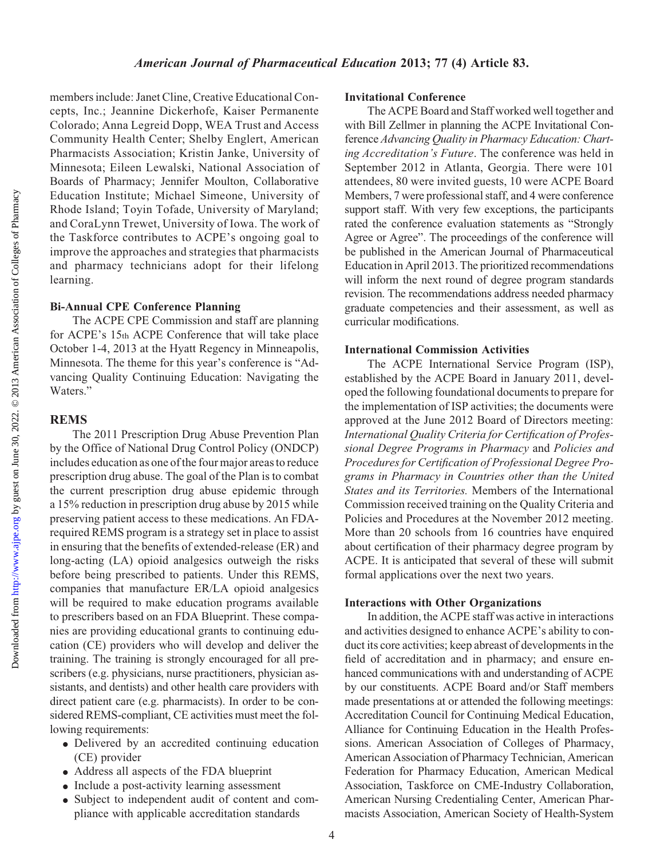members include: Janet Cline, Creative Educational Concepts, Inc.; Jeannine Dickerhofe, Kaiser Permanente Colorado; Anna Legreid Dopp, WEA Trust and Access Community Health Center; Shelby Englert, American Pharmacists Association; Kristin Janke, University of Minnesota; Eileen Lewalski, National Association of Boards of Pharmacy; Jennifer Moulton, Collaborative Education Institute; Michael Simeone, University of Rhode Island; Toyin Tofade, University of Maryland; and CoraLynn Trewet, University of Iowa. The work of the Taskforce contributes to ACPE's ongoing goal to improve the approaches and strategies that pharmacists and pharmacy technicians adopt for their lifelong learning.

#### Bi-Annual CPE Conference Planning

The ACPE CPE Commission and staff are planning for ACPE's 15th ACPE Conference that will take place October 1-4, 2013 at the Hyatt Regency in Minneapolis, Minnesota. The theme for this year's conference is "Advancing Quality Continuing Education: Navigating the Waters."

## REMS

The 2011 Prescription Drug Abuse Prevention Plan by the Office of National Drug Control Policy (ONDCP) includes education as one of the four major areas to reduce prescription drug abuse. The goal of the Plan is to combat the current prescription drug abuse epidemic through a 15% reduction in prescription drug abuse by 2015 while preserving patient access to these medications. An FDArequired REMS program is a strategy set in place to assist in ensuring that the benefits of extended-release (ER) and long-acting (LA) opioid analgesics outweigh the risks before being prescribed to patients. Under this REMS, companies that manufacture ER/LA opioid analgesics will be required to make education programs available to prescribers based on an FDA Blueprint. These companies are providing educational grants to continuing education (CE) providers who will develop and deliver the training. The training is strongly encouraged for all prescribers (e.g. physicians, nurse practitioners, physician assistants, and dentists) and other health care providers with direct patient care (e.g. pharmacists). In order to be considered REMS-compliant, CE activities must meet the following requirements:

- <sup>d</sup> Delivered by an accredited continuing education (CE) provider
- Address all aspects of the FDA blueprint
- Include a post-activity learning assessment
- <sup>d</sup> Subject to independent audit of content and compliance with applicable accreditation standards

### Invitational Conference

The ACPE Board and Staff worked well together and with Bill Zellmer in planning the ACPE Invitational Conference Advancing Quality in Pharmacy Education: Charting Accreditation's Future. The conference was held in September 2012 in Atlanta, Georgia. There were 101 attendees, 80 were invited guests, 10 were ACPE Board Members, 7 were professional staff, and 4 were conference support staff. With very few exceptions, the participants rated the conference evaluation statements as "Strongly Agree or Agree". The proceedings of the conference will be published in the American Journal of Pharmaceutical Education in April 2013. The prioritized recommendations will inform the next round of degree program standards revision. The recommendations address needed pharmacy graduate competencies and their assessment, as well as curricular modifications.

## International Commission Activities

The ACPE International Service Program (ISP), established by the ACPE Board in January 2011, developed the following foundational documents to prepare for the implementation of ISP activities; the documents were approved at the June 2012 Board of Directors meeting: International Quality Criteria for Certification of Professional Degree Programs in Pharmacy and Policies and Procedures for Certification of Professional Degree Programs in Pharmacy in Countries other than the United States and its Territories. Members of the International Commission received training on the Quality Criteria and Policies and Procedures at the November 2012 meeting. More than 20 schools from 16 countries have enquired about certification of their pharmacy degree program by ACPE. It is anticipated that several of these will submit formal applications over the next two years.

# Interactions with Other Organizations

In addition, the ACPE staff was active in interactions and activities designed to enhance ACPE's ability to conduct its core activities; keep abreast of developments in the field of accreditation and in pharmacy; and ensure enhanced communications with and understanding of ACPE by our constituents. ACPE Board and/or Staff members made presentations at or attended the following meetings: Accreditation Council for Continuing Medical Education, Alliance for Continuing Education in the Health Professions. American Association of Colleges of Pharmacy, American Association of Pharmacy Technician, American Federation for Pharmacy Education, American Medical Association, Taskforce on CME-Industry Collaboration, American Nursing Credentialing Center, American Pharmacists Association, American Society of Health-System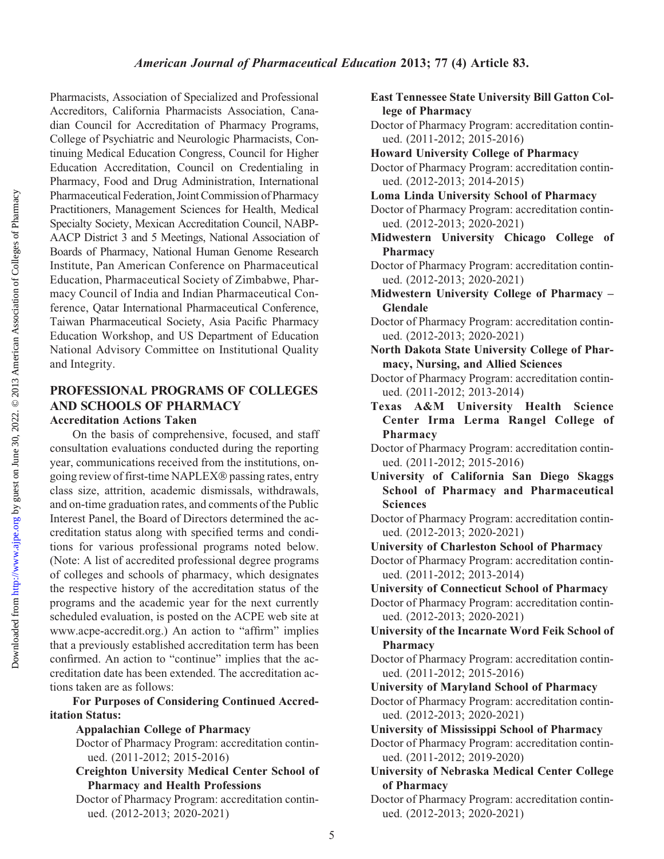Pharmacists, Association of Specialized and Professional Accreditors, California Pharmacists Association, Canadian Council for Accreditation of Pharmacy Programs, College of Psychiatric and Neurologic Pharmacists, Continuing Medical Education Congress, Council for Higher Education Accreditation, Council on Credentialing in Pharmacy, Food and Drug Administration, International Pharmaceutical Federation, Joint Commission of Pharmacy Practitioners, Management Sciences for Health, Medical Specialty Society, Mexican Accreditation Council, NABP-AACP District 3 and 5 Meetings, National Association of Boards of Pharmacy, National Human Genome Research Institute, Pan American Conference on Pharmaceutical Education, Pharmaceutical Society of Zimbabwe, Pharmacy Council of India and Indian Pharmaceutical Conference, Qatar International Pharmaceutical Conference, Taiwan Pharmaceutical Society, Asia Pacific Pharmacy Education Workshop, and US Department of Education National Advisory Committee on Institutional Quality and Integrity.

## PROFESSIONAL PROGRAMS OF COLLEGES AND SCHOOLS OF PHARMACY Accreditation Actions Taken

On the basis of comprehensive, focused, and staff consultation evaluations conducted during the reporting year, communications received from the institutions, ongoing review of first-time NAPLEX passing rates, entry class size, attrition, academic dismissals, withdrawals, and on-time graduation rates, and comments of the Public Interest Panel, the Board of Directors determined the accreditation status along with specified terms and conditions for various professional programs noted below. (Note: A list of accredited professional degree programs of colleges and schools of pharmacy, which designates the respective history of the accreditation status of the programs and the academic year for the next currently scheduled evaluation, is posted on the ACPE web site at www.acpe-accredit.org.) An action to "affirm" implies that a previously established accreditation term has been confirmed. An action to "continue" implies that the accreditation date has been extended. The accreditation actions taken are as follows:

For Purposes of Considering Continued Accreditation Status:

## Appalachian College of Pharmacy

Doctor of Pharmacy Program: accreditation continued. (2011-2012; 2015-2016)

- Creighton University Medical Center School of Pharmacy and Health Professions
- Doctor of Pharmacy Program: accreditation continued. (2012-2013; 2020-2021)

East Tennessee State University Bill Gatton College of Pharmacy

- Doctor of Pharmacy Program: accreditation continued. (2011-2012; 2015-2016)
- Howard University College of Pharmacy
- Doctor of Pharmacy Program: accreditation continued. (2012-2013; 2014-2015)
- Loma Linda University School of Pharmacy
- Doctor of Pharmacy Program: accreditation continued. (2012-2013; 2020-2021)
- Midwestern University Chicago College of Pharmacy
- Doctor of Pharmacy Program: accreditation continued. (2012-2013; 2020-2021)
- Midwestern University College of Pharmacy Glendale
- Doctor of Pharmacy Program: accreditation continued. (2012-2013; 2020-2021)
- North Dakota State University College of Pharmacy, Nursing, and Allied Sciences
- Doctor of Pharmacy Program: accreditation continued. (2011-2012; 2013-2014)
- Texas A&M University Health Science Center Irma Lerma Rangel College of Pharmacy
- Doctor of Pharmacy Program: accreditation continued. (2011-2012; 2015-2016)
- University of California San Diego Skaggs School of Pharmacy and Pharmaceutical **Sciences**
- Doctor of Pharmacy Program: accreditation continued. (2012-2013; 2020-2021)
- University of Charleston School of Pharmacy

Doctor of Pharmacy Program: accreditation continued. (2011-2012; 2013-2014)

University of Connecticut School of Pharmacy

Doctor of Pharmacy Program: accreditation continued. (2012-2013; 2020-2021)

University of the Incarnate Word Feik School of Pharmacy

- Doctor of Pharmacy Program: accreditation continued. (2011-2012; 2015-2016)
- University of Maryland School of Pharmacy

Doctor of Pharmacy Program: accreditation continued. (2012-2013; 2020-2021)

University of Mississippi School of Pharmacy

Doctor of Pharmacy Program: accreditation continued. (2011-2012; 2019-2020)

University of Nebraska Medical Center College of Pharmacy

Doctor of Pharmacy Program: accreditation continued. (2012-2013; 2020-2021)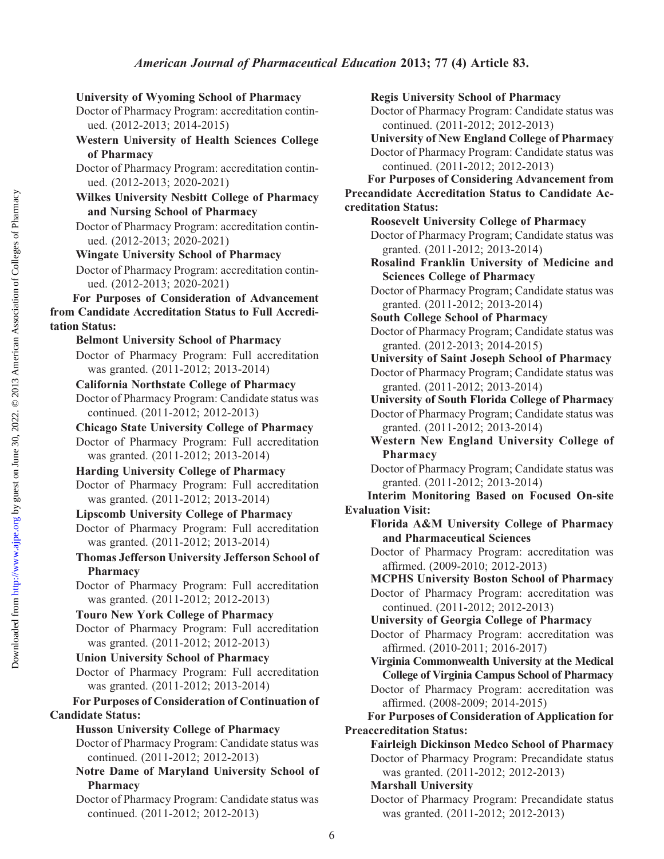# University of Wyoming School of Pharmacy

Doctor of Pharmacy Program: accreditation continued. (2012-2013; 2014-2015)

Western University of Health Sciences College of Pharmacy

Doctor of Pharmacy Program: accreditation continued. (2012-2013; 2020-2021)

# Wilkes University Nesbitt College of Pharmacy and Nursing School of Pharmacy

Doctor of Pharmacy Program: accreditation continued. (2012-2013; 2020-2021)

# Wingate University School of Pharmacy

Doctor of Pharmacy Program: accreditation continued. (2012-2013; 2020-2021)

For Purposes of Consideration of Advancement from Candidate Accreditation Status to Full Accreditation Status:

Belmont University School of Pharmacy

Doctor of Pharmacy Program: Full accreditation was granted. (2011-2012; 2013-2014)

California Northstate College of Pharmacy Doctor of Pharmacy Program: Candidate status was continued. (2011-2012; 2012-2013)

Chicago State University College of Pharmacy Doctor of Pharmacy Program: Full accreditation was granted. (2011-2012; 2013-2014)

Harding University College of Pharmacy Doctor of Pharmacy Program: Full accreditation was granted. (2011-2012; 2013-2014)

Lipscomb University College of Pharmacy Doctor of Pharmacy Program: Full accreditation was granted. (2011-2012; 2013-2014)

Thomas Jefferson University Jefferson School of Pharmacy

Doctor of Pharmacy Program: Full accreditation was granted. (2011-2012; 2012-2013)

Touro New York College of Pharmacy Doctor of Pharmacy Program: Full accreditation was granted. (2011-2012; 2012-2013)

Union University School of Pharmacy

Doctor of Pharmacy Program: Full accreditation was granted. (2011-2012; 2013-2014)

For Purposes of Consideration of Continuation of Candidate Status:

# Husson University College of Pharmacy

Doctor of Pharmacy Program: Candidate status was continued. (2011-2012; 2012-2013)

Notre Dame of Maryland University School of Pharmacy

Doctor of Pharmacy Program: Candidate status was continued. (2011-2012; 2012-2013)

# Regis University School of Pharmacy

Doctor of Pharmacy Program: Candidate status was continued. (2011-2012; 2012-2013)

University of New England College of Pharmacy Doctor of Pharmacy Program: Candidate status was continued. (2011-2012; 2012-2013)

For Purposes of Considering Advancement from Precandidate Accreditation Status to Candidate Accreditation Status:

Roosevelt University College of Pharmacy Doctor of Pharmacy Program; Candidate status was granted. (2011-2012; 2013-2014)

Rosalind Franklin University of Medicine and Sciences College of Pharmacy

Doctor of Pharmacy Program; Candidate status was granted. (2011-2012; 2013-2014)

South College School of Pharmacy

Doctor of Pharmacy Program; Candidate status was granted. (2012-2013; 2014-2015)

University of Saint Joseph School of Pharmacy

Doctor of Pharmacy Program; Candidate status was granted. (2011-2012; 2013-2014)

University of South Florida College of Pharmacy Doctor of Pharmacy Program; Candidate status was granted. (2011-2012; 2013-2014)

- Western New England University College of Pharmacy
- Doctor of Pharmacy Program; Candidate status was granted. (2011-2012; 2013-2014)

Interim Monitoring Based on Focused On-site Evaluation Visit:

Florida A&M University College of Pharmacy and Pharmaceutical Sciences

Doctor of Pharmacy Program: accreditation was affirmed. (2009-2010; 2012-2013)

MCPHS University Boston School of Pharmacy Doctor of Pharmacy Program: accreditation was continued. (2011-2012; 2012-2013)

University of Georgia College of Pharmacy

Doctor of Pharmacy Program: accreditation was affirmed. (2010-2011; 2016-2017)

Virginia Commonwealth University at the Medical College of Virginia Campus School of Pharmacy

Doctor of Pharmacy Program: accreditation was affirmed. (2008-2009; 2014-2015)

For Purposes of Consideration of Application for Preaccreditation Status:

Fairleigh Dickinson Medco School of Pharmacy Doctor of Pharmacy Program: Precandidate status was granted. (2011-2012; 2012-2013)

# Marshall University

Doctor of Pharmacy Program: Precandidate status was granted. (2011-2012; 2012-2013)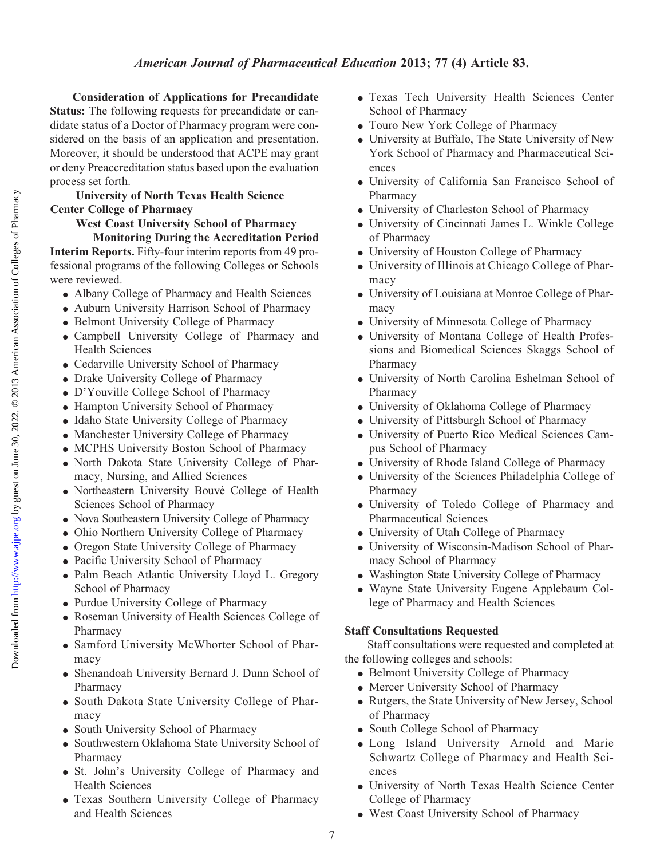Consideration of Applications for Precandidate Status: The following requests for precandidate or candidate status of a Doctor of Pharmacy program were considered on the basis of an application and presentation. Moreover, it should be understood that ACPE may grant or deny Preaccreditation status based upon the evaluation process set forth.

## University of North Texas Health Science Center College of Pharmacy

West Coast University School of Pharmacy Monitoring During the Accreditation Period Interim Reports. Fifty-four interim reports from 49 professional programs of the following Colleges or Schools were reviewed.

- Albany College of Pharmacy and Health Sciences
- Auburn University Harrison School of Pharmacy
- Belmont University College of Pharmacy
- <sup>d</sup> Campbell University College of Pharmacy and Health Sciences
- Cedarville University School of Pharmacy
- Drake University College of Pharmacy
- D'Youville College School of Pharmacy
- Hampton University School of Pharmacy
- Idaho State University College of Pharmacy
- Manchester University College of Pharmacy
- MCPHS University Boston School of Pharmacy
- North Dakota State University College of Pharmacy, Nursing, and Allied Sciences
- Northeastern University Bouvé College of Health Sciences School of Pharmacy
- Nova Southeastern University College of Pharmacy
- Ohio Northern University College of Pharmacy
- Oregon State University College of Pharmacy
- Pacific University School of Pharmacy
- <sup>d</sup> Palm Beach Atlantic University Lloyd L. Gregory School of Pharmacy
- Purdue University College of Pharmacy
- Roseman University of Health Sciences College of Pharmacy
- Samford University McWhorter School of Pharmacy
- Shenandoah University Bernard J. Dunn School of Pharmacy
- South Dakota State University College of Pharmacy
- South University School of Pharmacy
- Southwestern Oklahoma State University School of Pharmacy
- <sup>d</sup> St. John's University College of Pharmacy and Health Sciences
- Texas Southern University College of Pharmacy and Health Sciences
- <sup>d</sup> Texas Tech University Health Sciences Center School of Pharmacy
- Touro New York College of Pharmacy
- University at Buffalo, The State University of New York School of Pharmacy and Pharmaceutical Sciences
- $\bullet$  University of California San Francisco School of Pharmacy
- University of Charleston School of Pharmacy
- University of Cincinnati James L. Winkle College of Pharmacy
- University of Houston College of Pharmacy
- University of Illinois at Chicago College of Pharmacy
- $\bullet$  University of Louisiana at Monroe College of Pharmacy
- University of Minnesota College of Pharmacy
- University of Montana College of Health Professions and Biomedical Sciences Skaggs School of Pharmacy
- University of North Carolina Eshelman School of Pharmacy
- University of Oklahoma College of Pharmacy
- University of Pittsburgh School of Pharmacy
- $\bullet$  University of Puerto Rico Medical Sciences Campus School of Pharmacy
- University of Rhode Island College of Pharmacy
- University of the Sciences Philadelphia College of Pharmacy
- <sup>d</sup> University of Toledo College of Pharmacy and Pharmaceutical Sciences
- University of Utah College of Pharmacy
- $\bullet$  University of Wisconsin-Madison School of Pharmacy School of Pharmacy
- Washington State University College of Pharmacy
- <sup>d</sup> Wayne State University Eugene Applebaum College of Pharmacy and Health Sciences

## Staff Consultations Requested

Staff consultations were requested and completed at the following colleges and schools:

- Belmont University College of Pharmacy
- Mercer University School of Pharmacy
- Rutgers, the State University of New Jersey, School of Pharmacy
- South College School of Pharmacy
- Long Island University Arnold and Marie Schwartz College of Pharmacy and Health Sciences
- University of North Texas Health Science Center College of Pharmacy
- West Coast University School of Pharmacy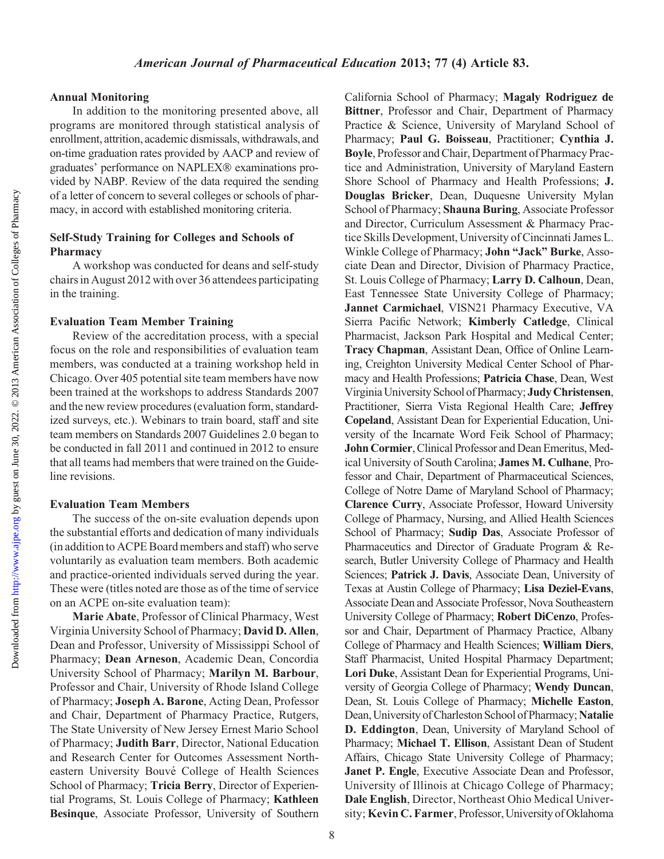Annual Monitoring

In addition to the monitoring presented above, all programs are monitored through statistical analysis of enrollment, attrition, academic dismissals, withdrawals, and on-time graduation rates provided by AACP and review of graduates' performance on NAPLEX® examinations provided by NABP. Review of the data required the sending of a letter of concern to several colleges or schools of pharmacy, in accord with established monitoring criteria.

## Self-Study Training for Colleges and Schools of Pharmacy

A workshop was conducted for deans and self-study chairs in August 2012 with over 36 attendees participating in the training.

## Evaluation Team Member Training

Review of the accreditation process, with a special focus on the role and responsibilities of evaluation team members, was conducted at a training workshop held in Chicago. Over 405 potential site team members have now been trained at the workshops to address Standards 2007 and the new review procedures (evaluation form, standardized surveys, etc.). Webinars to train board, staff and site team members on Standards 2007 Guidelines 2.0 began to be conducted in fall 2011 and continued in 2012 to ensure that all teams had members that were trained on the Guideline revisions.

## Evaluation Team Members

The success of the on-site evaluation depends upon the substantial efforts and dedication of many individuals (in addition to ACPE Board members and staff) who serve voluntarily as evaluation team members. Both academic and practice-oriented individuals served during the year. These were (titles noted are those as of the time of service on an ACPE on-site evaluation team):

Marie Abate, Professor of Clinical Pharmacy, West Virginia University School of Pharmacy; David D. Allen, Dean and Professor, University of Mississippi School of Pharmacy; Dean Arneson, Academic Dean, Concordia University School of Pharmacy; Marilyn M. Barbour, Professor and Chair, University of Rhode Island College of Pharmacy; Joseph A. Barone, Acting Dean, Professor and Chair, Department of Pharmacy Practice, Rutgers, The State University of New Jersey Ernest Mario School of Pharmacy; Judith Barr, Director, National Education and Research Center for Outcomes Assessment Northeastern University Bouvé College of Health Sciences School of Pharmacy; Tricia Berry, Director of Experiential Programs, St. Louis College of Pharmacy; Kathleen Besinque, Associate Professor, University of Southern

California School of Pharmacy; Magaly Rodriguez de Bittner, Professor and Chair, Department of Pharmacy Practice & Science, University of Maryland School of Pharmacy; Paul G. Boisseau, Practitioner; Cynthia J. Boyle, Professor and Chair, Department of Pharmacy Practice and Administration, University of Maryland Eastern Shore School of Pharmacy and Health Professions; J. Douglas Bricker, Dean, Duquesne University Mylan School of Pharmacy; Shauna Buring, Associate Professor and Director, Curriculum Assessment & Pharmacy Practice Skills Development, University of Cincinnati James L. Winkle College of Pharmacy; John "Jack" Burke, Associate Dean and Director, Division of Pharmacy Practice, St. Louis College of Pharmacy; Larry D. Calhoun, Dean, East Tennessee State University College of Pharmacy; Jannet Carmichael, VISN21 Pharmacy Executive, VA Sierra Pacific Network; Kimberly Catledge, Clinical Pharmacist, Jackson Park Hospital and Medical Center; Tracy Chapman, Assistant Dean, Office of Online Learning, Creighton University Medical Center School of Pharmacy and Health Professions; Patricia Chase, Dean, West Virginia University School of Pharmacy; Judy Christensen, Practitioner, Sierra Vista Regional Health Care; Jeffrey Copeland, Assistant Dean for Experiential Education, University of the Incarnate Word Feik School of Pharmacy; John Cormier, Clinical Professor and Dean Emeritus, Medical University of South Carolina; James M. Culhane, Professor and Chair, Department of Pharmaceutical Sciences, College of Notre Dame of Maryland School of Pharmacy; Clarence Curry, Associate Professor, Howard University College of Pharmacy, Nursing, and Allied Health Sciences School of Pharmacy; Sudip Das, Associate Professor of Pharmaceutics and Director of Graduate Program & Research, Butler University College of Pharmacy and Health Sciences; Patrick J. Davis, Associate Dean, University of Texas at Austin College of Pharmacy; Lisa Deziel-Evans, Associate Dean and Associate Professor, Nova Southeastern University College of Pharmacy; Robert DiCenzo, Professor and Chair, Department of Pharmacy Practice, Albany College of Pharmacy and Health Sciences; William Diers, Staff Pharmacist, United Hospital Pharmacy Department; Lori Duke, Assistant Dean for Experiential Programs, University of Georgia College of Pharmacy; Wendy Duncan, Dean, St. Louis College of Pharmacy; Michelle Easton, Dean, University of Charleston School of Pharmacy; Natalie D. Eddington, Dean, University of Maryland School of Pharmacy; Michael T. Ellison, Assistant Dean of Student Affairs, Chicago State University College of Pharmacy; Janet P. Engle, Executive Associate Dean and Professor, University of Illinois at Chicago College of Pharmacy; Dale English, Director, Northeast Ohio Medical University; Kevin C. Farmer, Professor, University of Oklahoma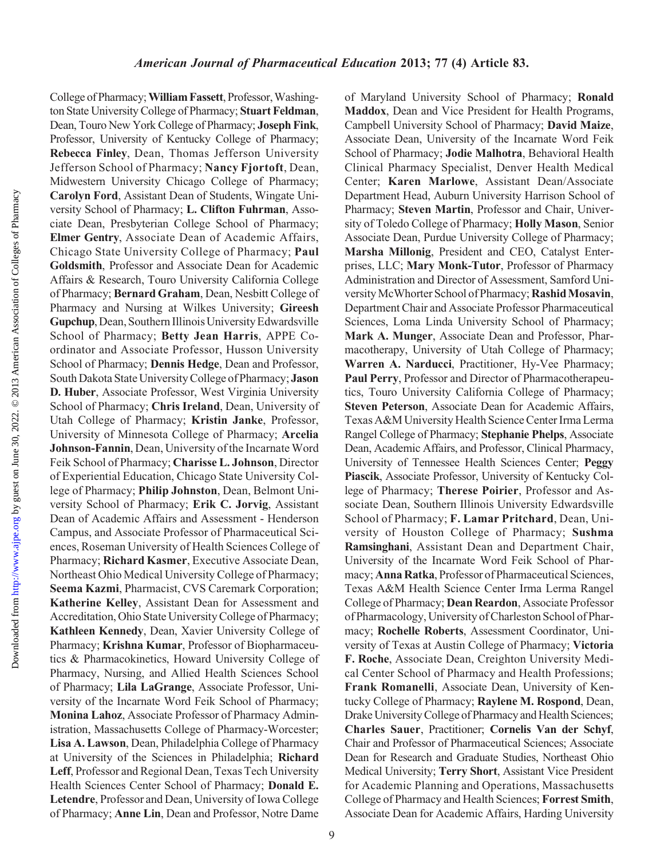College of Pharmacy; William Fassett, Professor, Washington State University College of Pharmacy; Stuart Feldman, Dean, Touro New York College of Pharmacy; Joseph Fink, Professor, University of Kentucky College of Pharmacy; Rebecca Finley, Dean, Thomas Jefferson University Jefferson School of Pharmacy; Nancy Fjortoft, Dean, Midwestern University Chicago College of Pharmacy; Carolyn Ford, Assistant Dean of Students, Wingate University School of Pharmacy; L. Clifton Fuhrman, Associate Dean, Presbyterian College School of Pharmacy; Elmer Gentry, Associate Dean of Academic Affairs, Chicago State University College of Pharmacy; Paul Goldsmith, Professor and Associate Dean for Academic Affairs & Research, Touro University California College of Pharmacy; Bernard Graham, Dean, Nesbitt College of Pharmacy and Nursing at Wilkes University; Gireesh Gupchup, Dean, Southern Illinois University Edwardsville School of Pharmacy; Betty Jean Harris, APPE Coordinator and Associate Professor, Husson University School of Pharmacy; Dennis Hedge, Dean and Professor, South Dakota State UniversityCollege of Pharmacy; Jason D. Huber, Associate Professor, West Virginia University School of Pharmacy; Chris Ireland, Dean, University of Utah College of Pharmacy; Kristin Janke, Professor, University of Minnesota College of Pharmacy; Arcelia Johnson-Fannin, Dean, University of the Incarnate Word Feik School of Pharmacy; Charisse L. Johnson, Director of Experiential Education, Chicago State University College of Pharmacy; Philip Johnston, Dean, Belmont University School of Pharmacy; Erik C. Jorvig, Assistant Dean of Academic Affairs and Assessment - Henderson Campus, and Associate Professor of Pharmaceutical Sciences, Roseman University of Health Sciences College of Pharmacy; Richard Kasmer, Executive Associate Dean, Northeast Ohio Medical University College of Pharmacy; Seema Kazmi, Pharmacist, CVS Caremark Corporation; Katherine Kelley, Assistant Dean for Assessment and Accreditation, Ohio State University College of Pharmacy; Kathleen Kennedy, Dean, Xavier University College of Pharmacy; Krishna Kumar, Professor of Biopharmaceutics & Pharmacokinetics, Howard University College of Pharmacy, Nursing, and Allied Health Sciences School of Pharmacy; Lila LaGrange, Associate Professor, University of the Incarnate Word Feik School of Pharmacy; Monina Lahoz, Associate Professor of Pharmacy Administration, Massachusetts College of Pharmacy-Worcester; Lisa A. Lawson, Dean, Philadelphia College of Pharmacy at University of the Sciences in Philadelphia; Richard Leff, Professor and Regional Dean, Texas Tech University Health Sciences Center School of Pharmacy; Donald E. Letendre, Professor and Dean, University of Iowa College of Pharmacy; Anne Lin, Dean and Professor, Notre Dame

of Maryland University School of Pharmacy; Ronald Maddox, Dean and Vice President for Health Programs, Campbell University School of Pharmacy; David Maize, Associate Dean, University of the Incarnate Word Feik School of Pharmacy; Jodie Malhotra, Behavioral Health Clinical Pharmacy Specialist, Denver Health Medical Center; Karen Marlowe, Assistant Dean/Associate Department Head, Auburn University Harrison School of Pharmacy; Steven Martin, Professor and Chair, University of Toledo College of Pharmacy; Holly Mason, Senior Associate Dean, Purdue University College of Pharmacy; Marsha Millonig, President and CEO, Catalyst Enterprises, LLC; Mary Monk-Tutor, Professor of Pharmacy Administration and Director of Assessment, Samford University McWhorter School of Pharmacy; Rashid Mosavin, Department Chair and Associate Professor Pharmaceutical Sciences, Loma Linda University School of Pharmacy; Mark A. Munger, Associate Dean and Professor, Pharmacotherapy, University of Utah College of Pharmacy; Warren A. Narducci, Practitioner, Hy-Vee Pharmacy; Paul Perry, Professor and Director of Pharmacotherapeutics, Touro University California College of Pharmacy; Steven Peterson, Associate Dean for Academic Affairs, Texas A&M University Health Science Center Irma Lerma Rangel College of Pharmacy; Stephanie Phelps, Associate Dean, Academic Affairs, and Professor, Clinical Pharmacy, University of Tennessee Health Sciences Center; Peggy Piascik, Associate Professor, University of Kentucky College of Pharmacy; Therese Poirier, Professor and Associate Dean, Southern Illinois University Edwardsville School of Pharmacy; F. Lamar Pritchard, Dean, University of Houston College of Pharmacy; Sushma Ramsinghani, Assistant Dean and Department Chair, University of the Incarnate Word Feik School of Pharmacy; Anna Ratka, Professor of Pharmaceutical Sciences, Texas A&M Health Science Center Irma Lerma Rangel College of Pharmacy; Dean Reardon, Associate Professor of Pharmacology, University of Charleston School of Pharmacy; Rochelle Roberts, Assessment Coordinator, University of Texas at Austin College of Pharmacy; Victoria F. Roche, Associate Dean, Creighton University Medical Center School of Pharmacy and Health Professions; Frank Romanelli, Associate Dean, University of Kentucky College of Pharmacy; Raylene M. Rospond, Dean, Drake UniversityCollege of Pharmacy and Health Sciences; Charles Sauer, Practitioner; Cornelis Van der Schyf, Chair and Professor of Pharmaceutical Sciences; Associate Dean for Research and Graduate Studies, Northeast Ohio Medical University; Terry Short, Assistant Vice President for Academic Planning and Operations, Massachusetts College of Pharmacy and Health Sciences; Forrest Smith, Associate Dean for Academic Affairs, Harding University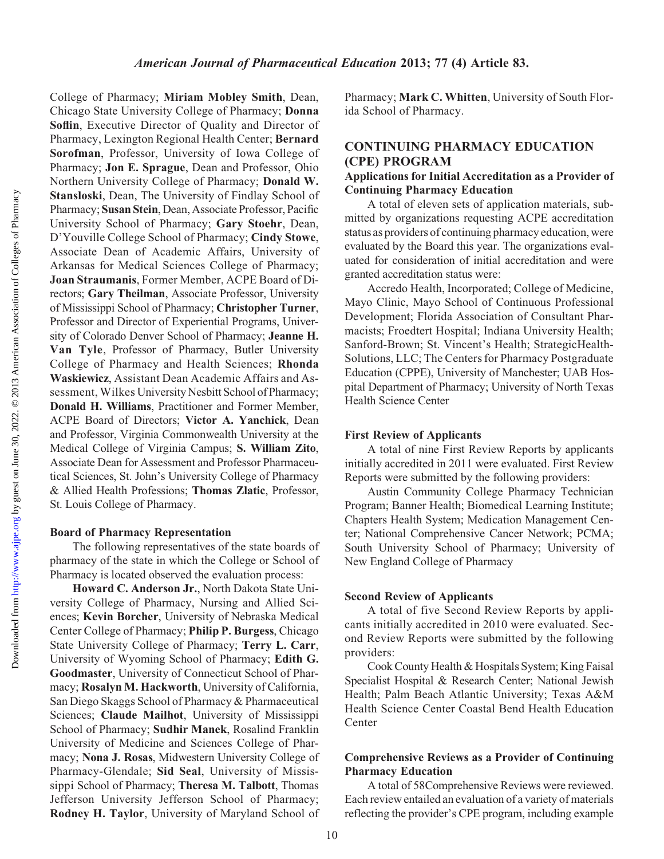College of Pharmacy; Miriam Mobley Smith, Dean, Chicago State University College of Pharmacy; Donna Soflin, Executive Director of Quality and Director of Pharmacy, Lexington Regional Health Center; Bernard Sorofman, Professor, University of Iowa College of Pharmacy; Jon E. Sprague, Dean and Professor, Ohio Northern University College of Pharmacy; Donald W. Stansloski, Dean, The University of Findlay School of Pharmacy; Susan Stein, Dean, Associate Professor, Pacific University School of Pharmacy; Gary Stoehr, Dean, D'Youville College School of Pharmacy; Cindy Stowe, Associate Dean of Academic Affairs, University of Arkansas for Medical Sciences College of Pharmacy; Joan Straumanis, Former Member, ACPE Board of Directors; Gary Theilman, Associate Professor, University of Mississippi School of Pharmacy; Christopher Turner, Professor and Director of Experiential Programs, University of Colorado Denver School of Pharmacy; Jeanne H. Van Tyle, Professor of Pharmacy, Butler University College of Pharmacy and Health Sciences; Rhonda Waskiewicz, Assistant Dean Academic Affairs and Assessment, Wilkes University Nesbitt School of Pharmacy; Donald H. Williams, Practitioner and Former Member, ACPE Board of Directors; Victor A. Yanchick, Dean and Professor, Virginia Commonwealth University at the Medical College of Virginia Campus; S. William Zito, Associate Dean for Assessment and Professor Pharmaceutical Sciences, St. John's University College of Pharmacy & Allied Health Professions; Thomas Zlatic, Professor, St. Louis College of Pharmacy.

## Board of Pharmacy Representation

The following representatives of the state boards of pharmacy of the state in which the College or School of Pharmacy is located observed the evaluation process:

Howard C. Anderson Jr., North Dakota State University College of Pharmacy, Nursing and Allied Sciences; Kevin Borcher, University of Nebraska Medical Center College of Pharmacy; Philip P. Burgess, Chicago State University College of Pharmacy; Terry L. Carr, University of Wyoming School of Pharmacy; Edith G. Goodmaster, University of Connecticut School of Pharmacy; Rosalyn M. Hackworth, University of California, San Diego Skaggs School of Pharmacy & Pharmaceutical Sciences; Claude Mailhot, University of Mississippi School of Pharmacy; Sudhir Manek, Rosalind Franklin University of Medicine and Sciences College of Pharmacy; Nona J. Rosas, Midwestern University College of Pharmacy-Glendale; Sid Seal, University of Mississippi School of Pharmacy; Theresa M. Talbott, Thomas Jefferson University Jefferson School of Pharmacy; Rodney H. Taylor, University of Maryland School of Pharmacy; Mark C. Whitten, University of South Florida School of Pharmacy.

# CONTINUING PHARMACY EDUCATION (CPE) PROGRAM Applications for Initial Accreditation as a Provider of Continuing Pharmacy Education

A total of eleven sets of application materials, submitted by organizations requesting ACPE accreditation status as providers of continuing pharmacy education, were evaluated by the Board this year. The organizations evaluated for consideration of initial accreditation and were granted accreditation status were:

Accredo Health, Incorporated; College of Medicine, Mayo Clinic, Mayo School of Continuous Professional Development; Florida Association of Consultant Pharmacists; Froedtert Hospital; Indiana University Health; Sanford-Brown; St. Vincent's Health; StrategicHealth-Solutions, LLC; The Centers for Pharmacy Postgraduate Education (CPPE), University of Manchester; UAB Hospital Department of Pharmacy; University of North Texas Health Science Center

## First Review of Applicants

A total of nine First Review Reports by applicants initially accredited in 2011 were evaluated. First Review Reports were submitted by the following providers:

Austin Community College Pharmacy Technician Program; Banner Health; Biomedical Learning Institute; Chapters Health System; Medication Management Center; National Comprehensive Cancer Network; PCMA; South University School of Pharmacy; University of New England College of Pharmacy

## Second Review of Applicants

A total of five Second Review Reports by applicants initially accredited in 2010 were evaluated. Second Review Reports were submitted by the following providers:

Cook County Health & Hospitals System; King Faisal Specialist Hospital & Research Center; National Jewish Health; Palm Beach Atlantic University; Texas A&M Health Science Center Coastal Bend Health Education Center

# Comprehensive Reviews as a Provider of Continuing Pharmacy Education

A total of 58Comprehensive Reviews were reviewed. Each review entailed an evaluation of a variety of materials reflecting the provider's CPE program, including example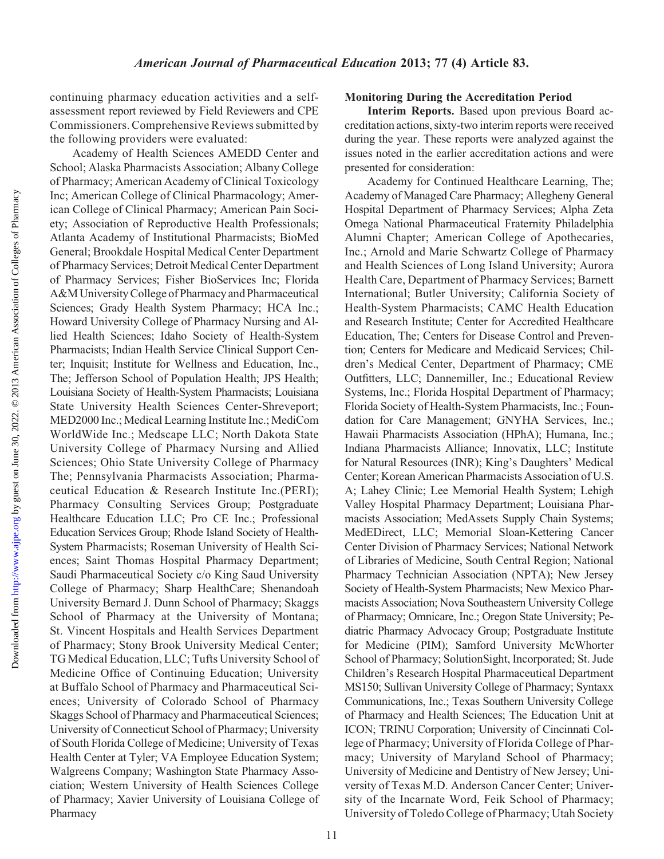continuing pharmacy education activities and a selfassessment report reviewed by Field Reviewers and CPE Commissioners. Comprehensive Reviews submitted by the following providers were evaluated:

Academy of Health Sciences AMEDD Center and School; Alaska Pharmacists Association; Albany College of Pharmacy; American Academy of Clinical Toxicology Inc; American College of Clinical Pharmacology; American College of Clinical Pharmacy; American Pain Society; Association of Reproductive Health Professionals; Atlanta Academy of Institutional Pharmacists; BioMed General; Brookdale Hospital Medical Center Department of Pharmacy Services; Detroit Medical Center Department of Pharmacy Services; Fisher BioServices Inc; Florida A&M University College of Pharmacy and Pharmaceutical Sciences; Grady Health System Pharmacy; HCA Inc.; Howard University College of Pharmacy Nursing and Allied Health Sciences; Idaho Society of Health-System Pharmacists; Indian Health Service Clinical Support Center; Inquisit; Institute for Wellness and Education, Inc., The; Jefferson School of Population Health; JPS Health; Louisiana Society of Health-System Pharmacists; Louisiana State University Health Sciences Center-Shreveport; MED2000 Inc.; Medical Learning Institute Inc.; MediCom WorldWide Inc.; Medscape LLC; North Dakota State University College of Pharmacy Nursing and Allied Sciences; Ohio State University College of Pharmacy The; Pennsylvania Pharmacists Association; Pharmaceutical Education & Research Institute Inc.(PERI); Pharmacy Consulting Services Group; Postgraduate Healthcare Education LLC; Pro CE Inc.; Professional Education Services Group; Rhode Island Society of Health-System Pharmacists; Roseman University of Health Sciences; Saint Thomas Hospital Pharmacy Department; Saudi Pharmaceutical Society c/o King Saud University College of Pharmacy; Sharp HealthCare; Shenandoah University Bernard J. Dunn School of Pharmacy; Skaggs School of Pharmacy at the University of Montana; St. Vincent Hospitals and Health Services Department of Pharmacy; Stony Brook University Medical Center; TG Medical Education, LLC; Tufts University School of Medicine Office of Continuing Education; University at Buffalo School of Pharmacy and Pharmaceutical Sciences; University of Colorado School of Pharmacy Skaggs School of Pharmacy and Pharmaceutical Sciences; University of Connecticut School of Pharmacy; University of South Florida College of Medicine; University of Texas Health Center at Tyler; VA Employee Education System; Walgreens Company; Washington State Pharmacy Association; Western University of Health Sciences College of Pharmacy; Xavier University of Louisiana College of Pharmacy

# Monitoring During the Accreditation Period

Interim Reports. Based upon previous Board accreditation actions, sixty-two interim reports were received during the year. These reports were analyzed against the issues noted in the earlier accreditation actions and were presented for consideration:

Academy for Continued Healthcare Learning, The; Academy of Managed Care Pharmacy; Allegheny General Hospital Department of Pharmacy Services; Alpha Zeta Omega National Pharmaceutical Fraternity Philadelphia Alumni Chapter; American College of Apothecaries, Inc.; Arnold and Marie Schwartz College of Pharmacy and Health Sciences of Long Island University; Aurora Health Care, Department of Pharmacy Services; Barnett International; Butler University; California Society of Health-System Pharmacists; CAMC Health Education and Research Institute; Center for Accredited Healthcare Education, The; Centers for Disease Control and Prevention; Centers for Medicare and Medicaid Services; Children's Medical Center, Department of Pharmacy; CME Outfitters, LLC; Dannemiller, Inc.; Educational Review Systems, Inc.; Florida Hospital Department of Pharmacy; Florida Society of Health-System Pharmacists, Inc.; Foundation for Care Management; GNYHA Services, Inc.; Hawaii Pharmacists Association (HPhA); Humana, Inc.; Indiana Pharmacists Alliance; Innovatix, LLC; Institute for Natural Resources (INR); King's Daughters' Medical Center; Korean American Pharmacists Association of U.S. A; Lahey Clinic; Lee Memorial Health System; Lehigh Valley Hospital Pharmacy Department; Louisiana Pharmacists Association; MedAssets Supply Chain Systems; MedEDirect, LLC; Memorial Sloan-Kettering Cancer Center Division of Pharmacy Services; National Network of Libraries of Medicine, South Central Region; National Pharmacy Technician Association (NPTA); New Jersey Society of Health-System Pharmacists; New Mexico Pharmacists Association; Nova Southeastern University College of Pharmacy; Omnicare, Inc.; Oregon State University; Pediatric Pharmacy Advocacy Group; Postgraduate Institute for Medicine (PIM); Samford University McWhorter School of Pharmacy; SolutionSight, Incorporated; St. Jude Children's Research Hospital Pharmaceutical Department MS150; Sullivan University College of Pharmacy; Syntaxx Communications, Inc.; Texas Southern University College of Pharmacy and Health Sciences; The Education Unit at ICON; TRINU Corporation; University of Cincinnati College of Pharmacy; University of Florida College of Pharmacy; University of Maryland School of Pharmacy; University of Medicine and Dentistry of New Jersey; University of Texas M.D. Anderson Cancer Center; University of the Incarnate Word, Feik School of Pharmacy; University of Toledo College of Pharmacy; Utah Society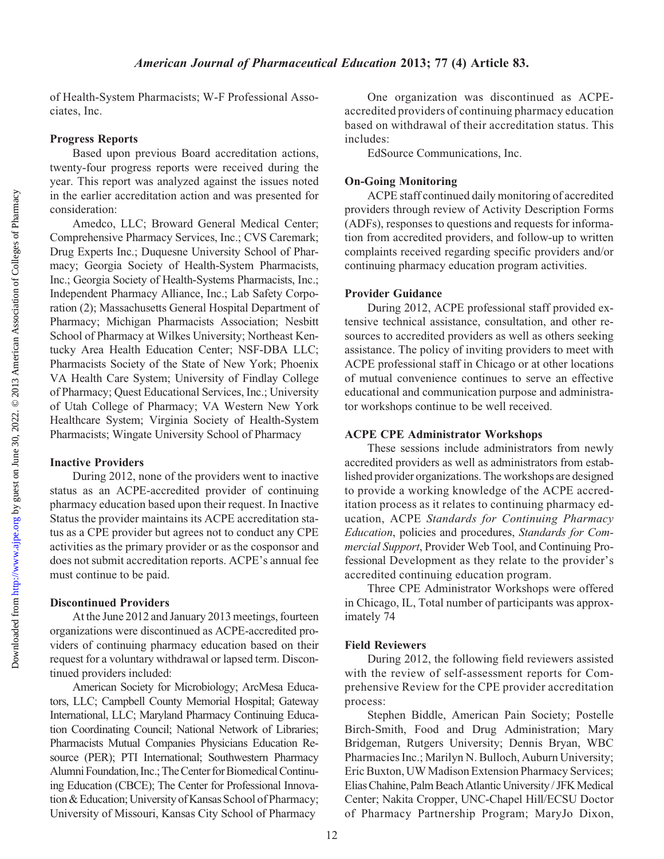of Health-System Pharmacists; W-F Professional Associates, Inc.

#### Progress Reports

Based upon previous Board accreditation actions, twenty-four progress reports were received during the year. This report was analyzed against the issues noted in the earlier accreditation action and was presented for consideration:

Amedco, LLC; Broward General Medical Center; Comprehensive Pharmacy Services, Inc.; CVS Caremark; Drug Experts Inc.; Duquesne University School of Pharmacy; Georgia Society of Health-System Pharmacists, Inc.; Georgia Society of Health-Systems Pharmacists, Inc.; Independent Pharmacy Alliance, Inc.; Lab Safety Corporation (2); Massachusetts General Hospital Department of Pharmacy; Michigan Pharmacists Association; Nesbitt School of Pharmacy at Wilkes University; Northeast Kentucky Area Health Education Center; NSF-DBA LLC; Pharmacists Society of the State of New York; Phoenix VA Health Care System; University of Findlay College of Pharmacy; Quest Educational Services, Inc.; University of Utah College of Pharmacy; VA Western New York Healthcare System; Virginia Society of Health-System Pharmacists; Wingate University School of Pharmacy

### Inactive Providers

During 2012, none of the providers went to inactive status as an ACPE-accredited provider of continuing pharmacy education based upon their request. In Inactive Status the provider maintains its ACPE accreditation status as a CPE provider but agrees not to conduct any CPE activities as the primary provider or as the cosponsor and does not submit accreditation reports. ACPE's annual fee must continue to be paid.

## Discontinued Providers

At the June 2012 and January 2013 meetings, fourteen organizations were discontinued as ACPE-accredited providers of continuing pharmacy education based on their request for a voluntary withdrawal or lapsed term. Discontinued providers included:

American Society for Microbiology; ArcMesa Educators, LLC; Campbell County Memorial Hospital; Gateway International, LLC; Maryland Pharmacy Continuing Education Coordinating Council; National Network of Libraries; Pharmacists Mutual Companies Physicians Education Resource (PER); PTI International; Southwestern Pharmacy Alumni Foundation, Inc.; The Center for Biomedical Continuing Education (CBCE); The Center for Professional Innovation& Education; University of Kansas School of Pharmacy; University of Missouri, Kansas City School of Pharmacy

One organization was discontinued as ACPEaccredited providers of continuing pharmacy education based on withdrawal of their accreditation status. This includes:

EdSource Communications, Inc.

#### On-Going Monitoring

ACPE staff continued daily monitoring of accredited providers through review of Activity Description Forms (ADFs), responses to questions and requests for information from accredited providers, and follow-up to written complaints received regarding specific providers and/or continuing pharmacy education program activities.

## Provider Guidance

During 2012, ACPE professional staff provided extensive technical assistance, consultation, and other resources to accredited providers as well as others seeking assistance. The policy of inviting providers to meet with ACPE professional staff in Chicago or at other locations of mutual convenience continues to serve an effective educational and communication purpose and administrator workshops continue to be well received.

#### ACPE CPE Administrator Workshops

These sessions include administrators from newly accredited providers as well as administrators from established provider organizations. The workshops are designed to provide a working knowledge of the ACPE accreditation process as it relates to continuing pharmacy education, ACPE Standards for Continuing Pharmacy Education, policies and procedures, Standards for Commercial Support, Provider Web Tool, and Continuing Professional Development as they relate to the provider's accredited continuing education program.

Three CPE Administrator Workshops were offered in Chicago, IL, Total number of participants was approximately 74

#### Field Reviewers

During 2012, the following field reviewers assisted with the review of self-assessment reports for Comprehensive Review for the CPE provider accreditation process:

Stephen Biddle, American Pain Society; Postelle Birch-Smith, Food and Drug Administration; Mary Bridgeman, Rutgers University; Dennis Bryan, WBC Pharmacies Inc.; Marilyn N. Bulloch, Auburn University; Eric Buxton, UW Madison Extension Pharmacy Services; Elias Chahine, Palm Beach Atlantic University / JFK Medical Center; Nakita Cropper, UNC-Chapel Hill/ECSU Doctor of Pharmacy Partnership Program; MaryJo Dixon,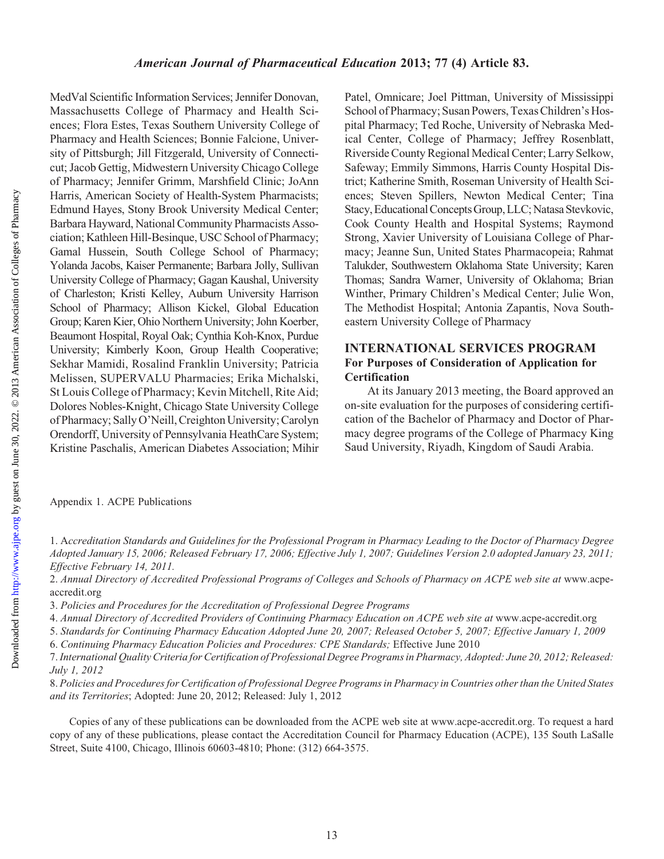MedVal Scientific Information Services; Jennifer Donovan, Massachusetts College of Pharmacy and Health Sciences; Flora Estes, Texas Southern University College of Pharmacy and Health Sciences; Bonnie Falcione, University of Pittsburgh; Jill Fitzgerald, University of Connecticut; Jacob Gettig, Midwestern University Chicago College of Pharmacy; Jennifer Grimm, Marshfield Clinic; JoAnn Harris, American Society of Health-System Pharmacists; Edmund Hayes, Stony Brook University Medical Center; Barbara Hayward, National Community Pharmacists Association; Kathleen Hill-Besinque, USC School of Pharmacy; Gamal Hussein, South College School of Pharmacy; Yolanda Jacobs, Kaiser Permanente; Barbara Jolly, Sullivan University College of Pharmacy; Gagan Kaushal, University of Charleston; Kristi Kelley, Auburn University Harrison School of Pharmacy; Allison Kickel, Global Education Group; Karen Kier, Ohio Northern University; John Koerber, Beaumont Hospital, Royal Oak; Cynthia Koh-Knox, Purdue University; Kimberly Koon, Group Health Cooperative; Sekhar Mamidi, Rosalind Franklin University; Patricia Melissen, SUPERVALU Pharmacies; Erika Michalski, St Louis College of Pharmacy; Kevin Mitchell, Rite Aid; Dolores Nobles-Knight, Chicago State University College of Pharmacy; Sally O'Neill, Creighton University; Carolyn Orendorff, University of Pennsylvania HeathCare System; Kristine Paschalis, American Diabetes Association; Mihir

Patel, Omnicare; Joel Pittman, University of Mississippi School of Pharmacy; Susan Powers, Texas Children's Hospital Pharmacy; Ted Roche, University of Nebraska Medical Center, College of Pharmacy; Jeffrey Rosenblatt, Riverside County Regional Medical Center; Larry Selkow, Safeway; Emmily Simmons, Harris County Hospital District; Katherine Smith, Roseman University of Health Sciences; Steven Spillers, Newton Medical Center; Tina Stacy,EducationalConcepts Group, LLC; Natasa Stevkovic, Cook County Health and Hospital Systems; Raymond Strong, Xavier University of Louisiana College of Pharmacy; Jeanne Sun, United States Pharmacopeia; Rahmat Talukder, Southwestern Oklahoma State University; Karen Thomas; Sandra Warner, University of Oklahoma; Brian Winther, Primary Children's Medical Center; Julie Won, The Methodist Hospital; Antonia Zapantis, Nova Southeastern University College of Pharmacy

## INTERNATIONAL SERVICES PROGRAM For Purposes of Consideration of Application for **Certification**

At its January 2013 meeting, the Board approved an on-site evaluation for the purposes of considering certification of the Bachelor of Pharmacy and Doctor of Pharmacy degree programs of the College of Pharmacy King Saud University, Riyadh, Kingdom of Saudi Arabia.

Appendix 1. ACPE Publications

1. Accreditation Standards and Guidelines for the Professional Program in Pharmacy Leading to the Doctor of Pharmacy Degree Adopted January 15, 2006; Released February 17, 2006; Effective July 1, 2007; Guidelines Version 2.0 adopted January 23, 2011; Effective February 14, 2011.

2. Annual Directory of Accredited Professional Programs of Colleges and Schools of Pharmacy on ACPE web site at www.acpeaccredit.org

3. Policies and Procedures for the Accreditation of Professional Degree Programs

4. Annual Directory of Accredited Providers of Continuing Pharmacy Education on ACPE web site at www.acpe-accredit.org

5. Standards for Continuing Pharmacy Education Adopted June 20, 2007; Released October 5, 2007; Effective January 1, 2009

6. Continuing Pharmacy Education Policies and Procedures: CPE Standards; Effective June 2010

7.International Quality Criteria for Certification of Professional Degree Programs in Pharmacy, Adopted: June 20, 2012; Released: July 1, 2012

8. Policies and Procedures for Certification of Professional Degree Programs in Pharmacy in Countries other than the United States and its Territories; Adopted: June 20, 2012; Released: July 1, 2012

Copies of any of these publications can be downloaded from the ACPE web site at www.acpe-accredit.org. To request a hard copy of any of these publications, please contact the Accreditation Council for Pharmacy Education (ACPE), 135 South LaSalle Street, Suite 4100, Chicago, Illinois 60603-4810; Phone: (312) 664-3575.